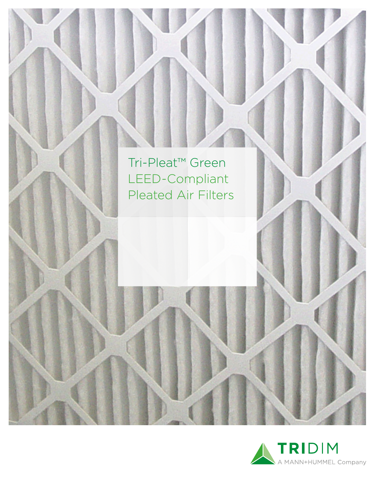

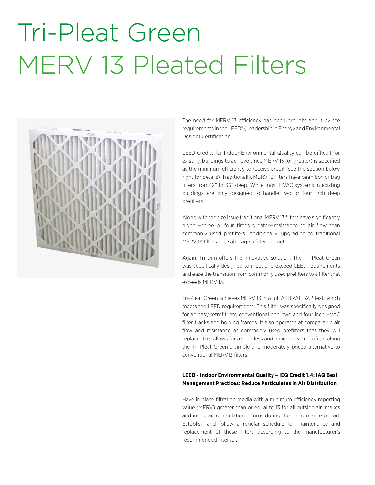# Tri-Pleat Green MERV 13 Pleated Filters



The need for MERV 13 efficiency has been brought about by the requirements in the LEED® (Leadership in Energy and Environmental Design) Certification.

LEED Credits for Indoor Environmental Quality can be difficult for existing buildings to achieve since MERV 13 (or greater) is specified as the minimum efficiency to receive credit (see the section below right for details). Traditionally, MERV 13 filters have been box or bag filters from 12" to 36" deep. While most HVAC systems in existing buildings are only designed to handle two or four inch deep prefilters.

Along with the size issue traditional MERV 13 filters have significantly higher—three or four times greater—resistance to air flow than commonly used prefilters. Additionally, upgrading to traditional MERV 13 filters can sabotage a filter budget.

Again, Tri-Dim offers the innovative solution. The Tri-Pleat Green was specifically designed to meet and exceed LEED requirements and ease the transition from commonly used prefilters to a filter that exceeds MERV 13.

Tri-Pleat Green achieves MERV 13 in a full ASHRAE 52.2 test, which meets the LEED requirements. This filter was specifically designed for an easy retrofit into conventional one, two and four inch HVAC filter tracks and holding frames. It also operates at comparable air flow and resistance as commonly used prefilters that they will replace. This allows for a seamless and inexpensive retrofit, making the Tri-Pleat Green a simple and moderately-priced alternative to conventional MERV13 filters.

### **LEED - Indoor Environmental Quality – IEQ Credit 1.4: IAQ Best Management Practices: Reduce Particulates in Air Distribution**

Have in place filtration media with a minimum efficiency reporting value (MERV) greater than or equal to 13 for all outside air intakes and inside air recirculation returns during the performance period. Establish and follow a regular schedule for maintenance and replacement of these filters according to the manufacturer's recommended interval.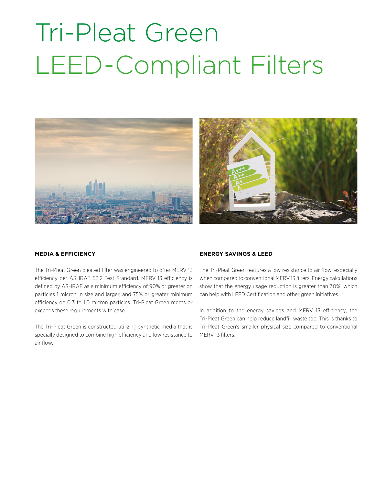# Tri-Pleat Green LEED-Compliant Filters



#### **MEDIA & EFFICIENCY**

The Tri-Pleat Green pleated filter was engineered to offer MERV 13 efficiency per ASHRAE 52.2 Test Standard. MERV 13 efficiency is defined by ASHRAE as a minimum efficiency of 90% or greater on particles 1 micron in size and larger, and 75% or greater minimum efficiency on 0.3 to 1.0 micron particles. Tri-Pleat Green meets or exceeds these requirements with ease.

The Tri-Pleat Green is constructed utilizing synthetic media that is specially designed to combine high efficiency and low resistance to air flow.

#### **ENERGY SAVINGS & LEED**

The Tri-Pleat Green features a low resistance to air flow, especially when compared to conventional MERV 13 filters. Energy calculations show that the energy usage reduction is greater than 30%, which can help with LEED Certification and other green initiatives.

In addition to the energy savings and MERV 13 efficiency, the Tri-Pleat Green can help reduce landfill waste too. This is thanks to Tri-Pleat Green's smaller physical size compared to conventional MERV 13 filters.